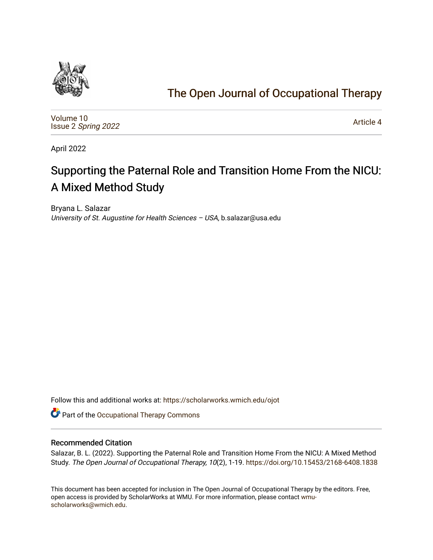

# [The Open Journal of Occupational Therapy](https://scholarworks.wmich.edu/ojot)

[Volume 10](https://scholarworks.wmich.edu/ojot/vol10) Issue 2 [Spring 2022](https://scholarworks.wmich.edu/ojot/vol10/iss2) 

[Article 4](https://scholarworks.wmich.edu/ojot/vol10/iss2/4) 

April 2022

# Supporting the Paternal Role and Transition Home From the NICU: A Mixed Method Study

Bryana L. Salazar University of St. Augustine for Health Sciences - USA, b.salazar@usa.edu

Follow this and additional works at: [https://scholarworks.wmich.edu/ojot](https://scholarworks.wmich.edu/ojot?utm_source=scholarworks.wmich.edu%2Fojot%2Fvol10%2Fiss2%2F4&utm_medium=PDF&utm_campaign=PDFCoverPages)

Part of the [Occupational Therapy Commons](http://network.bepress.com/hgg/discipline/752?utm_source=scholarworks.wmich.edu%2Fojot%2Fvol10%2Fiss2%2F4&utm_medium=PDF&utm_campaign=PDFCoverPages) 

#### Recommended Citation

Salazar, B. L. (2022). Supporting the Paternal Role and Transition Home From the NICU: A Mixed Method Study. The Open Journal of Occupational Therapy, 10(2), 1-19. <https://doi.org/10.15453/2168-6408.1838>

This document has been accepted for inclusion in The Open Journal of Occupational Therapy by the editors. Free, open access is provided by ScholarWorks at WMU. For more information, please contact [wmu](mailto:wmu-scholarworks@wmich.edu)[scholarworks@wmich.edu.](mailto:wmu-scholarworks@wmich.edu)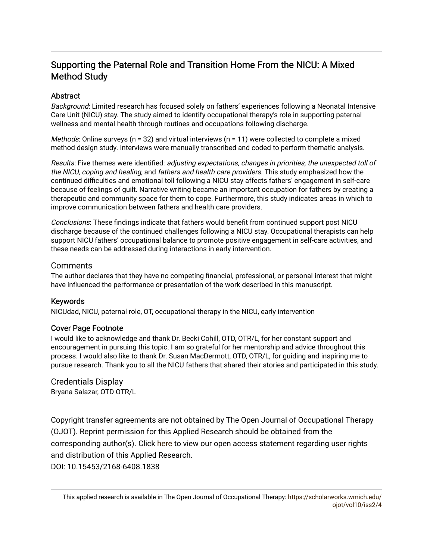## Supporting the Paternal Role and Transition Home From the NICU: A Mixed Method Study

### **Abstract**

Background: Limited research has focused solely on fathers' experiences following a Neonatal Intensive Care Unit (NICU) stay. The study aimed to identify occupational therapy's role in supporting paternal wellness and mental health through routines and occupations following discharge.

*Methods*: Online surveys ( $n = 32$ ) and virtual interviews ( $n = 11$ ) were collected to complete a mixed method design study. Interviews were manually transcribed and coded to perform thematic analysis.

Results: Five themes were identified: adjusting expectations, changes in priorities, the unexpected toll of the NICU, coping and healing, and fathers and health care providers. This study emphasized how the continued difficulties and emotional toll following a NICU stay affects fathers' engagement in self-care because of feelings of guilt. Narrative writing became an important occupation for fathers by creating a therapeutic and community space for them to cope. Furthermore, this study indicates areas in which to improve communication between fathers and health care providers.

Conclusions: These findings indicate that fathers would benefit from continued support post NICU discharge because of the continued challenges following a NICU stay. Occupational therapists can help support NICU fathers' occupational balance to promote positive engagement in self-care activities, and these needs can be addressed during interactions in early intervention.

### Comments

The author declares that they have no competing financial, professional, or personal interest that might have influenced the performance or presentation of the work described in this manuscript.

#### Keywords

NICUdad, NICU, paternal role, OT, occupational therapy in the NICU, early intervention

#### Cover Page Footnote

I would like to acknowledge and thank Dr. Becki Cohill, OTD, OTR/L, for her constant support and encouragement in pursuing this topic. I am so grateful for her mentorship and advice throughout this process. I would also like to thank Dr. Susan MacDermott, OTD, OTR/L, for guiding and inspiring me to pursue research. Thank you to all the NICU fathers that shared their stories and participated in this study.

Credentials Display Bryana Salazar, OTD OTR/L

Copyright transfer agreements are not obtained by The Open Journal of Occupational Therapy (OJOT). Reprint permission for this Applied Research should be obtained from the corresponding author(s). Click [here](https://scholarworks.wmich.edu/ojot/policies.html#rights) to view our open access statement regarding user rights and distribution of this Applied Research. DOI: 10.15453/2168-6408.1838

This applied research is available in The Open Journal of Occupational Therapy: [https://scholarworks.wmich.edu/](https://scholarworks.wmich.edu/ojot/vol10/iss2/4) [ojot/vol10/iss2/4](https://scholarworks.wmich.edu/ojot/vol10/iss2/4)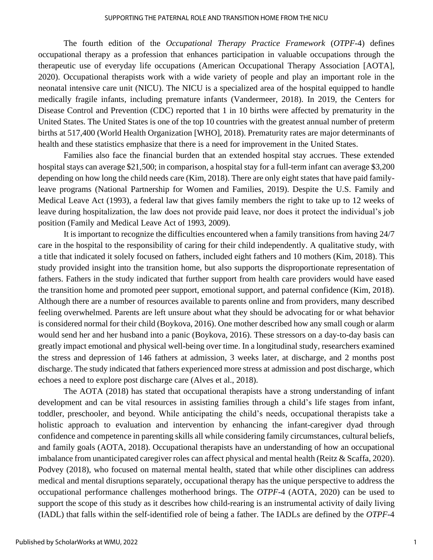The fourth edition of the *Occupational Therapy Practice Framework* (*OTPF*-4) defines occupational therapy as a profession that enhances participation in valuable occupations through the therapeutic use of everyday life occupations (American Occupational Therapy Association [AOTA], 2020). Occupational therapists work with a wide variety of people and play an important role in the neonatal intensive care unit (NICU). The NICU is a specialized area of the hospital equipped to handle medically fragile infants, including premature infants (Vandermeer, 2018). In 2019, the Centers for Disease Control and Prevention (CDC) reported that 1 in 10 births were affected by prematurity in the United States. The United States is one of the top 10 countries with the greatest annual number of preterm births at 517,400 (World Health Organization [WHO], 2018). Prematurity rates are major determinants of health and these statistics emphasize that there is a need for improvement in the United States.

Families also face the financial burden that an extended hospital stay accrues. These extended hospital stays can average \$21,500; in comparison, a hospital stay for a full-term infant can average \$3,200 depending on how long the child needs care (Kim, 2018). There are only eight states that have paid familyleave programs (National Partnership for Women and Families, 2019). Despite the U.S. Family and Medical Leave Act (1993), a federal law that gives family members the right to take up to 12 weeks of leave during hospitalization, the law does not provide paid leave, nor does it protect the individual's job position (Family and Medical Leave Act of 1993, 2009).

It is important to recognize the difficulties encountered when a family transitions from having 24/7 care in the hospital to the responsibility of caring for their child independently. A qualitative study, with a title that indicated it solely focused on fathers, included eight fathers and 10 mothers (Kim, 2018). This study provided insight into the transition home, but also supports the disproportionate representation of fathers. Fathers in the study indicated that further support from health care providers would have eased the transition home and promoted peer support, emotional support, and paternal confidence (Kim, 2018). Although there are a number of resources available to parents online and from providers, many described feeling overwhelmed. Parents are left unsure about what they should be advocating for or what behavior is considered normal for their child (Boykova, 2016). One mother described how any small cough or alarm would send her and her husband into a panic (Boykova, 2016). These stressors on a day-to-day basis can greatly impact emotional and physical well-being over time. In a longitudinal study, researchers examined the stress and depression of 146 fathers at admission, 3 weeks later, at discharge, and 2 months post discharge. The study indicated that fathers experienced more stress at admission and post discharge, which echoes a need to explore post discharge care (Alves et al., 2018).

The AOTA (2018) has stated that occupational therapists have a strong understanding of infant development and can be vital resources in assisting families through a child's life stages from infant, toddler, preschooler, and beyond. While anticipating the child's needs, occupational therapists take a holistic approach to evaluation and intervention by enhancing the infant-caregiver dyad through confidence and competence in parenting skills all while considering family circumstances, cultural beliefs, and family goals (AOTA, 2018). Occupational therapists have an understanding of how an occupational imbalance from unanticipated caregiver roles can affect physical and mental health (Reitz & Scaffa, 2020). Podvey (2018), who focused on maternal mental health, stated that while other disciplines can address medical and mental disruptions separately, occupational therapy has the unique perspective to address the occupational performance challenges motherhood brings. The *OTPF*-4 (AOTA, 2020) can be used to support the scope of this study as it describes how child-rearing is an instrumental activity of daily living (IADL) that falls within the self-identified role of being a father. The IADLs are defined by the *OTPF*-4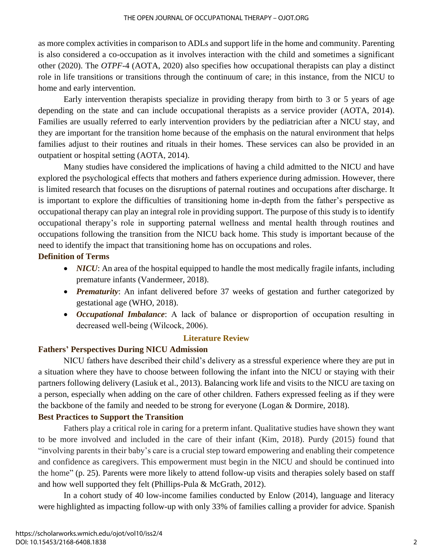as more complex activities in comparison to ADLs and support life in the home and community. Parenting is also considered a co-occupation as it involves interaction with the child and sometimes a significant other (2020). The *OTPF*-4 (AOTA, 2020) also specifies how occupational therapists can play a distinct role in life transitions or transitions through the continuum of care; in this instance, from the NICU to home and early intervention.

Early intervention therapists specialize in providing therapy from birth to 3 or 5 years of age depending on the state and can include occupational therapists as a service provider (AOTA, 2014). Families are usually referred to early intervention providers by the pediatrician after a NICU stay, and they are important for the transition home because of the emphasis on the natural environment that helps families adjust to their routines and rituals in their homes. These services can also be provided in an outpatient or hospital setting (AOTA, 2014).

Many studies have considered the implications of having a child admitted to the NICU and have explored the psychological effects that mothers and fathers experience during admission. However, there is limited research that focuses on the disruptions of paternal routines and occupations after discharge. It is important to explore the difficulties of transitioning home in-depth from the father's perspective as occupational therapy can play an integral role in providing support. The purpose of this study is to identify occupational therapy's role in supporting paternal wellness and mental health through routines and occupations following the transition from the NICU back home. This study is important because of the need to identify the impact that transitioning home has on occupations and roles.

### **Definition of Terms**

- *NICU*: An area of the hospital equipped to handle the most medically fragile infants, including premature infants (Vandermeer, 2018).
- *Prematurity*: An infant delivered before 37 weeks of gestation and further categorized by gestational age (WHO, 2018).
- *Occupational Imbalance*: A lack of balance or disproportion of occupation resulting in decreased well-being (Wilcock, 2006).

### **Literature Review**

### **Fathers' Perspectives During NICU Admission**

NICU fathers have described their child's delivery as a stressful experience where they are put in a situation where they have to choose between following the infant into the NICU or staying with their partners following delivery (Lasiuk et al., 2013). Balancing work life and visits to the NICU are taxing on a person, especially when adding on the care of other children. Fathers expressed feeling as if they were the backbone of the family and needed to be strong for everyone (Logan & Dormire, 2018).

### **Best Practices to Support the Transition**

Fathers play a critical role in caring for a preterm infant. Qualitative studies have shown they want to be more involved and included in the care of their infant (Kim, 2018). Purdy (2015) found that "involving parents in their baby's care is a crucial step toward empowering and enabling their competence and confidence as caregivers. This empowerment must begin in the NICU and should be continued into the home" (p. 25). Parents were more likely to attend follow-up visits and therapies solely based on staff and how well supported they felt (Phillips-Pula & McGrath, 2012).

In a cohort study of 40 low-income families conducted by Enlow (2014), language and literacy were highlighted as impacting follow-up with only 33% of families calling a provider for advice. Spanish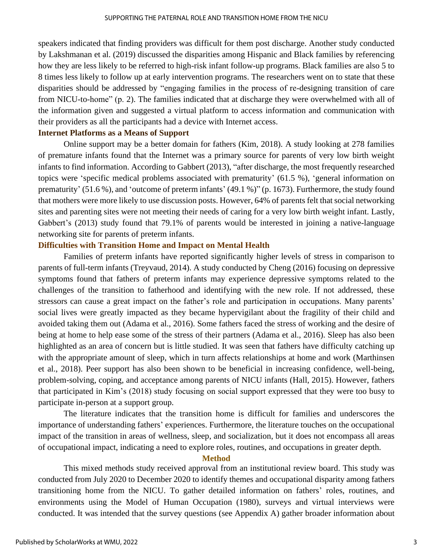speakers indicated that finding providers was difficult for them post discharge. Another study conducted by Lakshmanan et al. (2019) discussed the disparities among Hispanic and Black families by referencing how they are less likely to be referred to high-risk infant follow-up programs. Black families are also 5 to 8 times less likely to follow up at early intervention programs. The researchers went on to state that these disparities should be addressed by "engaging families in the process of re-designing transition of care from NICU-to-home" (p. 2). The families indicated that at discharge they were overwhelmed with all of the information given and suggested a virtual platform to access information and communication with their providers as all the participants had a device with Internet access.

#### **Internet Platforms as a Means of Support**

Online support may be a better domain for fathers (Kim, 2018). A study looking at 278 families of premature infants found that the Internet was a primary source for parents of very low birth weight infants to find information. According to Gabbert (2013), "after discharge, the most frequently researched topics were 'specific medical problems associated with prematurity' (61.5 %), 'general information on prematurity' (51.6 %), and 'outcome of preterm infants' (49.1 %)" (p. 1673). Furthermore, the study found that mothers were more likely to use discussion posts. However, 64% of parents felt that social networking sites and parenting sites were not meeting their needs of caring for a very low birth weight infant. Lastly, Gabbert's (2013) study found that 79.1% of parents would be interested in joining a native-language networking site for parents of preterm infants.

### **Difficulties with Transition Home and Impact on Mental Health**

Families of preterm infants have reported significantly higher levels of stress in comparison to parents of full-term infants (Treyvaud, 2014). A study conducted by Cheng (2016) focusing on depressive symptoms found that fathers of preterm infants may experience depressive symptoms related to the challenges of the transition to fatherhood and identifying with the new role. If not addressed, these stressors can cause a great impact on the father's role and participation in occupations. Many parents' social lives were greatly impacted as they became hypervigilant about the fragility of their child and avoided taking them out (Adama et al., 2016). Some fathers faced the stress of working and the desire of being at home to help ease some of the stress of their partners (Adama et al., 2016). Sleep has also been highlighted as an area of concern but is little studied. It was seen that fathers have difficulty catching up with the appropriate amount of sleep, which in turn affects relationships at home and work (Marthinsen et al., 2018). Peer support has also been shown to be beneficial in increasing confidence, well-being, problem-solving, coping, and acceptance among parents of NICU infants (Hall, 2015). However, fathers that participated in Kim's (2018) study focusing on social support expressed that they were too busy to participate in-person at a support group.

The literature indicates that the transition home is difficult for families and underscores the importance of understanding fathers' experiences. Furthermore, the literature touches on the occupational impact of the transition in areas of wellness, sleep, and socialization, but it does not encompass all areas of occupational impact, indicating a need to explore roles, routines, and occupations in greater depth.

#### **Method**

This mixed methods study received approval from an institutional review board. This study was conducted from July 2020 to December 2020 to identify themes and occupational disparity among fathers transitioning home from the NICU. To gather detailed information on fathers' roles, routines, and environments using the Model of Human Occupation (1980), surveys and virtual interviews were conducted. It was intended that the survey questions (see Appendix A) gather broader information about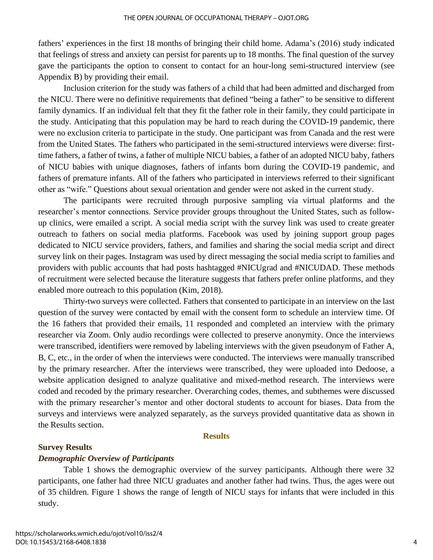fathers' experiences in the first 18 months of bringing their child home. Adama's (2016) study indicated that feelings of stress and anxiety can persist for parents up to 18 months. The final question of the survey gave the participants the option to consent to contact for an hour-long semi-structured interview (see Appendix B) by providing their email.

Inclusion criterion for the study was fathers of a child that had been admitted and discharged from the NICU. There were no definitive requirements that defined "being a father" to be sensitive to different family dynamics. If an individual felt that they fit the father role in their family, they could participate in the study. Anticipating that this population may be hard to reach during the COVID-19 pandemic, there were no exclusion criteria to participate in the study. One participant was from Canada and the rest were from the United States. The fathers who participated in the semi-structured interviews were diverse: firsttime fathers, a father of twins, a father of multiple NICU babies, a father of an adopted NICU baby, fathers of NICU babies with unique diagnoses, fathers of infants born during the COVID-19 pandemic, and fathers of premature infants. All of the fathers who participated in interviews referred to their significant other as "wife." Questions about sexual orientation and gender were not asked in the current study.

The participants were recruited through purposive sampling via virtual platforms and the researcher's mentor connections. Service provider groups throughout the United States, such as followup clinics, were emailed a script. A social media script with the survey link was used to create greater outreach to fathers on social media platforms. Facebook was used by joining support group pages dedicated to NICU service providers, fathers, and families and sharing the social media script and direct survey link on their pages. Instagram was used by direct messaging the social media script to families and providers with public accounts that had posts hashtagged #NICUgrad and #NICUDAD. These methods of recruitment were selected because the literature suggests that fathers prefer online platforms, and they enabled more outreach to this population (Kim, 2018).

Thirty-two surveys were collected. Fathers that consented to participate in an interview on the last question of the survey were contacted by email with the consent form to schedule an interview time. Of the 16 fathers that provided their emails, 11 responded and completed an interview with the primary researcher via Zoom. Only audio recordings were collected to preserve anonymity. Once the interviews were transcribed, identifiers were removed by labeling interviews with the given pseudonym of Father A, B, C, etc., in the order of when the interviews were conducted. The interviews were manually transcribed by the primary researcher. After the interviews were transcribed, they were uploaded into Dedoose, a website application designed to analyze qualitative and mixed-method research. The interviews were coded and recoded by the primary researcher. Overarching codes, themes, and subthemes were discussed with the primary researcher's mentor and other doctoral students to account for biases. Data from the surveys and interviews were analyzed separately, as the surveys provided quantitative data as shown in the Results section.

#### **Results**

#### **Survey Results**

#### *Demographic Overview of Participants*

Table 1 shows the demographic overview of the survey participants. Although there were 32 participants, one father had three NICU graduates and another father had twins. Thus, the ages were out of 35 children. Figure 1 shows the range of length of NICU stays for infants that were included in this study.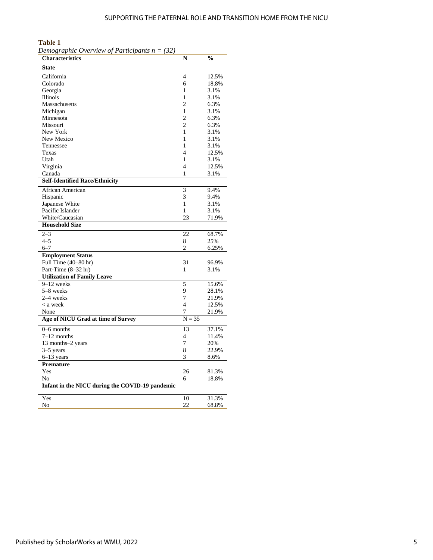#### **Table 1**

| <b>Characteristics</b>                          | N              | $\frac{1}{2}$ |
|-------------------------------------------------|----------------|---------------|
| <b>State</b>                                    |                |               |
| California                                      | $\overline{4}$ | 12.5%         |
| Colorado                                        | 6              | 18.8%         |
| Georgia                                         | 1              | 3.1%          |
| Illinois                                        | 1              | 3.1%          |
| Massachusetts                                   | $\overline{c}$ | 6.3%          |
| Michigan                                        | 1              | 3.1%          |
| Minnesota                                       | $\overline{c}$ | 6.3%          |
| Missouri                                        | $\overline{c}$ | 6.3%          |
| New York                                        | 1              | 3.1%          |
| New Mexico                                      | 1              | 3.1%          |
| Tennessee                                       | 1              | 3.1%          |
| Texas                                           | 4              | 12.5%         |
| Utah                                            | 1              | 3.1%          |
| Virginia                                        | 4              | 12.5%         |
| Canada                                          | 1              | 3.1%          |
| <b>Self-Identified Race/Ethnicity</b>           |                |               |
| African American                                | 3              | 9.4%          |
| Hispanic                                        | 3              | 9.4%          |
| Japanese White                                  | 1              | 3.1%          |
| Pacific Islander                                | $\mathbf{1}$   | 3.1%          |
| White/Caucasian                                 | 23             | 71.9%         |
| <b>Household Size</b>                           |                |               |
| $2 - 3$                                         | 22             | 68.7%         |
| $4 - 5$                                         | 8              | 25%           |
| $6 - 7$                                         | 2              | 6.25%         |
| <b>Employment Status</b>                        |                |               |
| Full Time $(40-80$ hr)                          | 31             | 96.9%         |
| Part-Time $(8-32$ hr)                           | 1              | 3.1%          |
| <b>Utilization of Family Leave</b>              |                |               |
| $9-12$ weeks                                    | 5              | 15.6%         |
| 5-8 weeks                                       | 9              | 28.1%         |
| 2–4 weeks                                       | 7              | 21.9%         |
| < a week                                        | $\overline{4}$ | 12.5%         |
| None                                            | 7              | 21.9%         |
| Age of NICU Grad at time of Survey              | $N = 35$       |               |
| $0 - 6$ months                                  | 13             | 37.1%         |
| $7-12$ months                                   | 4              | 11.4%         |
| 13 months-2 years                               | 7              | 20%           |
| $3-5$ years                                     | 8              | 22.9%         |
| $6-13$ years                                    | 3              | 8.6%          |
| <b>Premature</b>                                |                |               |
| Yes                                             | 26             | 81.3%         |
| No                                              | 6              | 18.8%         |
| Infant in the NICU during the COVID-19 pandemic |                |               |
| Yes                                             | 10             | 31.3%         |
|                                                 |                |               |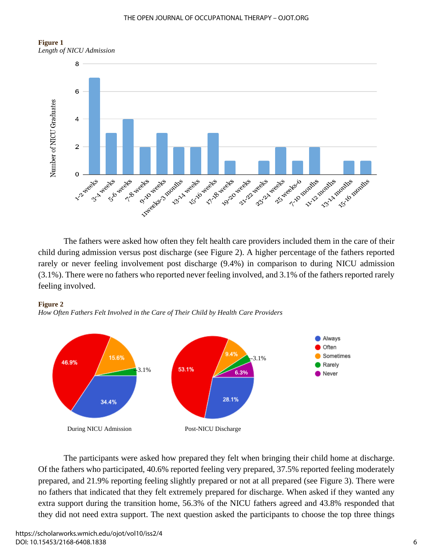#### THE OPEN JOURNAL OF OCCUPATIONAL THERAPY – OJOT.ORG





The fathers were asked how often they felt health care providers included them in the care of their child during admission versus post discharge (see Figure 2). A higher percentage of the fathers reported rarely or never feeling involvement post discharge (9.4%) in comparison to during NICU admission (3.1%). There were no fathers who reported never feeling involved, and 3.1% of the fathers reported rarely feeling involved.



*How Often Fathers Felt Involved in the Care of Their Child by Health Care Providers*



The participants were asked how prepared they felt when bringing their child home at discharge. Of the fathers who participated, 40.6% reported feeling very prepared, 37.5% reported feeling moderately prepared, and 21.9% reporting feeling slightly prepared or not at all prepared (see Figure 3). There were no fathers that indicated that they felt extremely prepared for discharge. When asked if they wanted any extra support during the transition home, 56.3% of the NICU fathers agreed and 43.8% responded that they did not need extra support. The next question asked the participants to choose the top three things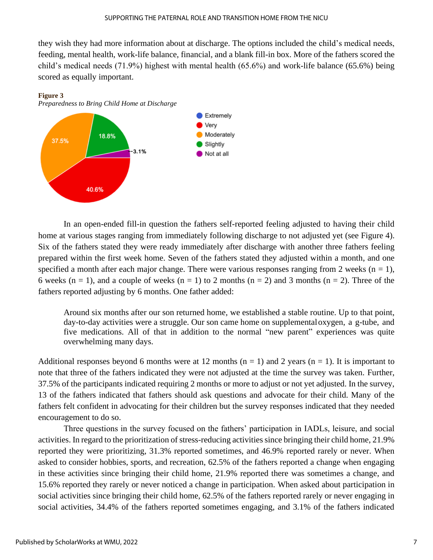they wish they had more information about at discharge. The options included the child's medical needs, feeding, mental health, work-life balance, financial, and a blank fill-in box. More of the fathers scored the child's medical needs (71.9%) highest with mental health (65.6%) and work-life balance (65.6%) being scored as equally important.



In an open-ended fill-in question the fathers self-reported feeling adjusted to having their child home at various stages ranging from immediately following discharge to not adjusted yet (see Figure 4). Six of the fathers stated they were ready immediately after discharge with another three fathers feeling prepared within the first week home. Seven of the fathers stated they adjusted within a month, and one specified a month after each major change. There were various responses ranging from 2 weeks ( $n = 1$ ), 6 weeks (n = 1), and a couple of weeks (n = 1) to 2 months (n = 2) and 3 months (n = 2). Three of the fathers reported adjusting by 6 months. One father added:

Around six months after our son returned home, we established a stable routine. Up to that point, day-to-day activities were a struggle. Our son came home on supplementaloxygen, a g-tube, and five medications. All of that in addition to the normal "new parent" experiences was quite overwhelming many days.

Additional responses beyond 6 months were at 12 months ( $n = 1$ ) and 2 years ( $n = 1$ ). It is important to note that three of the fathers indicated they were not adjusted at the time the survey was taken. Further, 37.5% of the participants indicated requiring 2 months or more to adjust or not yet adjusted. In the survey, 13 of the fathers indicated that fathers should ask questions and advocate for their child. Many of the fathers felt confident in advocating for their children but the survey responses indicated that they needed encouragement to do so.

Three questions in the survey focused on the fathers' participation in IADLs, leisure, and social activities. In regard to the prioritization of stress-reducing activities since bringing their child home, 21.9% reported they were prioritizing, 31.3% reported sometimes, and 46.9% reported rarely or never. When asked to consider hobbies, sports, and recreation, 62.5% of the fathers reported a change when engaging in these activities since bringing their child home, 21.9% reported there was sometimes a change, and 15.6% reported they rarely or never noticed a change in participation. When asked about participation in social activities since bringing their child home, 62.5% of the fathers reported rarely or never engaging in social activities, 34.4% of the fathers reported sometimes engaging, and 3.1% of the fathers indicated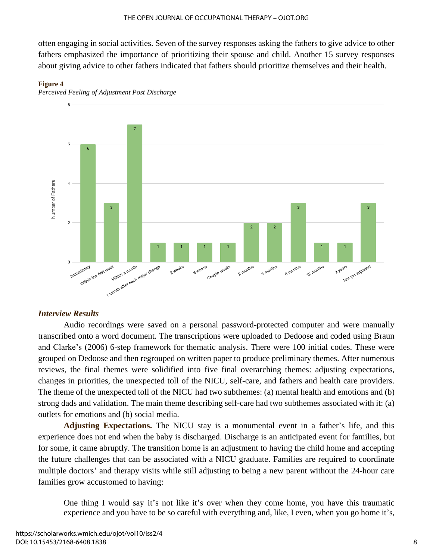often engaging in social activities. Seven of the survey responses asking the fathers to give advice to other fathers emphasized the importance of prioritizing their spouse and child. Another 15 survey responses about giving advice to other fathers indicated that fathers should prioritize themselves and their health.







### *Interview Results*

Audio recordings were saved on a personal password-protected computer and were manually transcribed onto a word document. The transcriptions were uploaded to Dedoose and coded using Braun and Clarke's (2006) 6-step framework for thematic analysis. There were 100 initial codes. These were grouped on Dedoose and then regrouped on written paper to produce preliminary themes. After numerous reviews, the final themes were solidified into five final overarching themes: adjusting expectations, changes in priorities, the unexpected toll of the NICU, self-care, and fathers and health care providers. The theme of the unexpected toll of the NICU had two subthemes: (a) mental health and emotions and (b) strong dads and validation. The main theme describing self-care had two subthemes associated with it: (a) outlets for emotions and (b) social media.

**Adjusting Expectations.** The NICU stay is a monumental event in a father's life, and this experience does not end when the baby is discharged. Discharge is an anticipated event for families, but for some, it came abruptly. The transition home is an adjustment to having the child home and accepting the future challenges that can be associated with a NICU graduate. Families are required to coordinate multiple doctors' and therapy visits while still adjusting to being a new parent without the 24-hour care families grow accustomed to having:

One thing I would say it's not like it's over when they come home, you have this traumatic experience and you have to be so careful with everything and, like, I even, when you go home it's,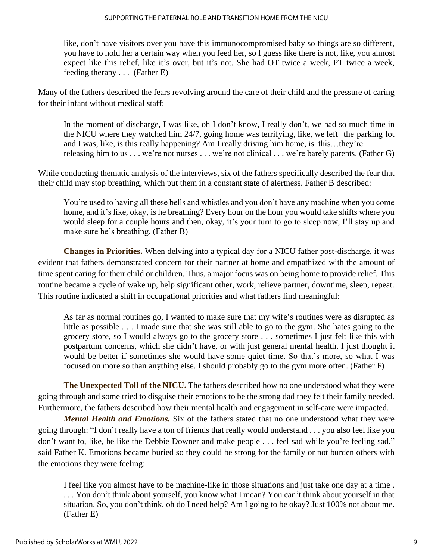like, don't have visitors over you have this immunocompromised baby so things are so different, you have to hold her a certain way when you feed her, so I guess like there is not, like, you almost expect like this relief, like it's over, but it's not. She had OT twice a week, PT twice a week, feeding therapy . . . (Father E)

Many of the fathers described the fears revolving around the care of their child and the pressure of caring for their infant without medical staff:

In the moment of discharge, I was like, oh I don't know, I really don't, we had so much time in the NICU where they watched him 24/7, going home was terrifying, like, we left the parking lot and I was, like, is this really happening? Am I really driving him home, is this…they're releasing him to us . . . we're not nurses . . . we're not clinical . . . we're barely parents. (Father G)

While conducting thematic analysis of the interviews, six of the fathers specifically described the fear that their child may stop breathing, which put them in a constant state of alertness. Father B described:

You're used to having all these bells and whistles and you don't have any machine when you come home, and it's like, okay, is he breathing? Every hour on the hour you would take shifts where you would sleep for a couple hours and then, okay, it's your turn to go to sleep now, I'll stay up and make sure he's breathing. (Father B)

**Changes in Priorities.** When delving into a typical day for a NICU father post-discharge, it was evident that fathers demonstrated concern for their partner at home and empathized with the amount of time spent caring for their child or children. Thus, a major focus was on being home to provide relief. This routine became a cycle of wake up, help significant other, work, relieve partner, downtime, sleep, repeat. This routine indicated a shift in occupational priorities and what fathers find meaningful:

As far as normal routines go, I wanted to make sure that my wife's routines were as disrupted as little as possible . . . I made sure that she was still able to go to the gym. She hates going to the grocery store, so I would always go to the grocery store . . . sometimes I just felt like this with postpartum concerns, which she didn't have, or with just general mental health. I just thought it would be better if sometimes she would have some quiet time. So that's more, so what I was focused on more so than anything else. I should probably go to the gym more often. (Father F)

**The Unexpected Toll of the NICU.** The fathers described how no one understood what they were going through and some tried to disguise their emotions to be the strong dad they felt their family needed. Furthermore, the fathers described how their mental health and engagement in self-care were impacted.

*Mental Health and Emotions.* Six of the fathers stated that no one understood what they were going through: "I don't really have a ton of friends that really would understand . . . you also feel like you don't want to, like, be like the Debbie Downer and make people . . . feel sad while you're feeling sad," said Father K. Emotions became buried so they could be strong for the family or not burden others with the emotions they were feeling:

I feel like you almost have to be machine-like in those situations and just take one day at a time . . . . You don't think about yourself, you know what I mean? You can't think about yourself in that situation. So, you don't think, oh do I need help? Am I going to be okay? Just 100% not about me. (Father E)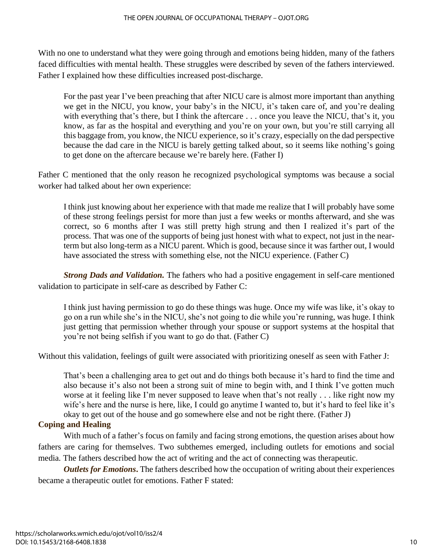With no one to understand what they were going through and emotions being hidden, many of the fathers faced difficulties with mental health. These struggles were described by seven of the fathers interviewed. Father I explained how these difficulties increased post-discharge.

For the past year I've been preaching that after NICU care is almost more important than anything we get in the NICU, you know, your baby's in the NICU, it's taken care of, and you're dealing with everything that's there, but I think the aftercare . . . once you leave the NICU, that's it, you know, as far as the hospital and everything and you're on your own, but you're still carrying all this baggage from, you know, the NICU experience, so it's crazy, especially on the dad perspective because the dad care in the NICU is barely getting talked about, so it seems like nothing's going to get done on the aftercare because we're barely here. (Father I)

Father C mentioned that the only reason he recognized psychological symptoms was because a social worker had talked about her own experience:

I think just knowing about her experience with that made me realize that I will probably have some of these strong feelings persist for more than just a few weeks or months afterward, and she was correct, so 6 months after I was still pretty high strung and then I realized it's part of the process. That was one of the supports of being just honest with what to expect, not just in the nearterm but also long-term as a NICU parent. Which is good, because since it was farther out, I would have associated the stress with something else, not the NICU experience. (Father C)

*Strong Dads and Validation.* The fathers who had a positive engagement in self-care mentioned validation to participate in self-care as described by Father C:

I think just having permission to go do these things was huge. Once my wife was like, it's okay to go on a run while she's in the NICU, she's not going to die while you're running, was huge. I think just getting that permission whether through your spouse or support systems at the hospital that you're not being selfish if you want to go do that. (Father C)

Without this validation, feelings of guilt were associated with prioritizing oneself as seen with Father J:

That's been a challenging area to get out and do things both because it's hard to find the time and also because it's also not been a strong suit of mine to begin with, and I think I've gotten much worse at it feeling like I'm never supposed to leave when that's not really . . . like right now my wife's here and the nurse is here, like, I could go anytime I wanted to, but it's hard to feel like it's okay to get out of the house and go somewhere else and not be right there. (Father J)

### **Coping and Healing**

With much of a father's focus on family and facing strong emotions, the question arises about how fathers are caring for themselves. Two subthemes emerged, including outlets for emotions and social media*.* The fathers described how the act of writing and the act of connecting was therapeutic.

*Outlets for Emotions*. The fathers described how the occupation of writing about their experiences became a therapeutic outlet for emotions. Father F stated: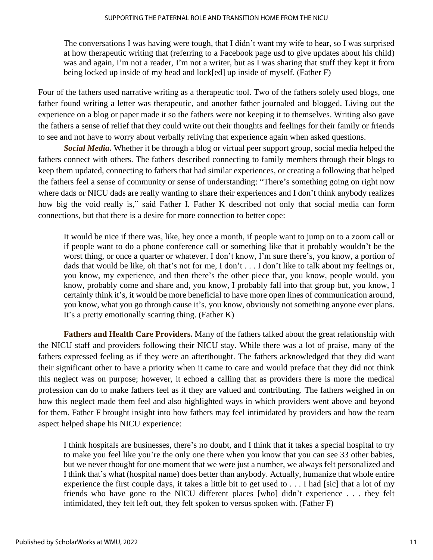The conversations I was having were tough, that I didn't want my wife to hear, so I was surprised at how therapeutic writing that (referring to a Facebook page usd to give updates about his child) was and again, I'm not a reader, I'm not a writer, but as I was sharing that stuff they kept it from being locked up inside of my head and lock[ed] up inside of myself. (Father F)

Four of the fathers used narrative writing as a therapeutic tool. Two of the fathers solely used blogs, one father found writing a letter was therapeutic, and another father journaled and blogged. Living out the experience on a blog or paper made it so the fathers were not keeping it to themselves. Writing also gave the fathers a sense of relief that they could write out their thoughts and feelings for their family or friends to see and not have to worry about verbally reliving that experience again when asked questions.

*Social Media***.** Whether it be through a blog or virtual peer support group, social media helped the fathers connect with others. The fathers described connecting to family members through their blogs to keep them updated, connecting to fathers that had similar experiences, or creating a following that helped the fathers feel a sense of community or sense of understanding: "There's something going on right now where dads or NICU dads are really wanting to share their experiences and I don't think anybody realizes how big the void really is," said Father I. Father K described not only that social media can form connections, but that there is a desire for more connection to better cope:

It would be nice if there was, like, hey once a month, if people want to jump on to a zoom call or if people want to do a phone conference call or something like that it probably wouldn't be the worst thing, or once a quarter or whatever. I don't know, I'm sure there's, you know, a portion of dads that would be like, oh that's not for me, I don't . . . I don't like to talk about my feelings or, you know, my experience, and then there's the other piece that, you know, people would, you know, probably come and share and, you know, I probably fall into that group but, you know, I certainly think it's, it would be more beneficial to have more open lines of communication around, you know, what you go through cause it's, you know, obviously not something anyone ever plans. It's a pretty emotionally scarring thing. (Father K)

**Fathers and Health Care Providers.** Many of the fathers talked about the great relationship with the NICU staff and providers following their NICU stay. While there was a lot of praise, many of the fathers expressed feeling as if they were an afterthought. The fathers acknowledged that they did want their significant other to have a priority when it came to care and would preface that they did not think this neglect was on purpose; however, it echoed a calling that as providers there is more the medical profession can do to make fathers feel as if they are valued and contributing. The fathers weighed in on how this neglect made them feel and also highlighted ways in which providers went above and beyond for them. Father F brought insight into how fathers may feel intimidated by providers and how the team aspect helped shape his NICU experience:

I think hospitals are businesses, there's no doubt, and I think that it takes a special hospital to try to make you feel like you're the only one there when you know that you can see 33 other babies, but we never thought for one moment that we were just a number, we always felt personalized and I think that's what (hospital name) does better than anybody. Actually, humanize that whole entire experience the first couple days, it takes a little bit to get used to  $\dots$ . I had [sic] that a lot of my friends who have gone to the NICU different places [who] didn't experience . . . they felt intimidated, they felt left out, they felt spoken to versus spoken with. (Father F)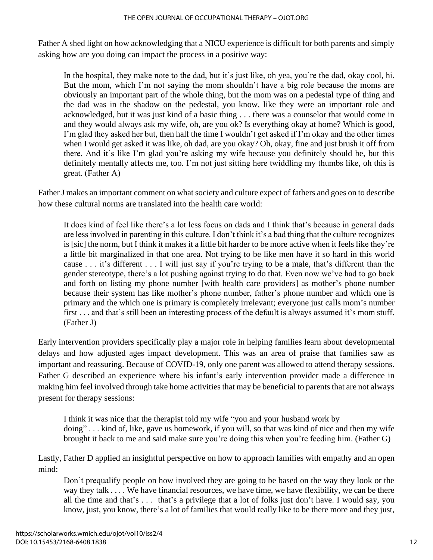Father A shed light on how acknowledging that a NICU experience is difficult for both parents and simply asking how are you doing can impact the process in a positive way:

In the hospital, they make note to the dad, but it's just like, oh yea, you're the dad, okay cool, hi. But the mom, which I'm not saying the mom shouldn't have a big role because the moms are obviously an important part of the whole thing, but the mom was on a pedestal type of thing and the dad was in the shadow on the pedestal, you know, like they were an important role and acknowledged, but it was just kind of a basic thing . . . there was a counselor that would come in and they would always ask my wife, oh, are you ok? Is everything okay at home? Which is good, I'm glad they asked her but, then half the time I wouldn't get asked if I'm okay and the other times when I would get asked it was like, oh dad, are you okay? Oh, okay, fine and just brush it off from there. And it's like I'm glad you're asking my wife because you definitely should be, but this definitely mentally affects me, too. I'm not just sitting here twiddling my thumbs like, oh this is great. (Father A)

Father J makes an important comment on what society and culture expect of fathers and goes on to describe how these cultural norms are translated into the health care world:

It does kind of feel like there's a lot less focus on dads and I think that's because in general dads are less involved in parenting in this culture. I don't think it's a bad thing that the culture recognizes is [sic] the norm, but I think it makes it a little bit harder to be more active when it feels like they're a little bit marginalized in that one area. Not trying to be like men have it so hard in this world cause . . . it's different . . . I will just say if you're trying to be a male, that's different than the gender stereotype, there's a lot pushing against trying to do that. Even now we've had to go back and forth on listing my phone number [with health care providers] as mother's phone number because their system has like mother's phone number, father's phone number and which one is primary and the which one is primary is completely irrelevant; everyone just calls mom's number first . . . and that's still been an interesting process of the default is always assumed it's mom stuff. (Father J)

Early intervention providers specifically play a major role in helping families learn about developmental delays and how adjusted ages impact development. This was an area of praise that families saw as important and reassuring. Because of COVID-19, only one parent was allowed to attend therapy sessions. Father G described an experience where his infant's early intervention provider made a difference in making him feel involved through take home activities that may be beneficial to parents that are not always present for therapy sessions:

I think it was nice that the therapist told my wife "you and your husband work by doing" . . . kind of, like, gave us homework, if you will, so that was kind of nice and then my wife brought it back to me and said make sure you're doing this when you're feeding him. (Father G)

Lastly, Father D applied an insightful perspective on how to approach families with empathy and an open mind:

Don't prequalify people on how involved they are going to be based on the way they look or the way they talk . . . . We have financial resources, we have time, we have flexibility, we can be there all the time and that's . . . that's a privilege that a lot of folks just don't have. I would say, you know, just, you know, there's a lot of families that would really like to be there more and they just,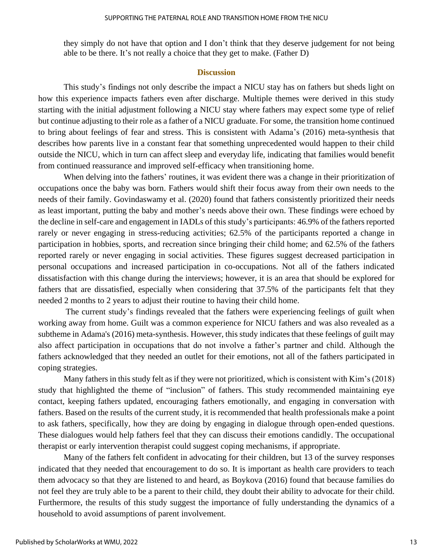they simply do not have that option and I don't think that they deserve judgement for not being able to be there. It's not really a choice that they get to make. (Father D)

#### **Discussion**

This study's findings not only describe the impact a NICU stay has on fathers but sheds light on how this experience impacts fathers even after discharge. Multiple themes were derived in this study starting with the initial adjustment following a NICU stay where fathers may expect some type of relief but continue adjusting to their role as a father of a NICU graduate. For some, the transition home continued to bring about feelings of fear and stress. This is consistent with Adama's (2016) meta-synthesis that describes how parents live in a constant fear that something unprecedented would happen to their child outside the NICU, which in turn can affect sleep and everyday life, indicating that families would benefit from continued reassurance and improved self-efficacy when transitioning home.

When delving into the fathers' routines, it was evident there was a change in their prioritization of occupations once the baby was born. Fathers would shift their focus away from their own needs to the needs of their family. Govindaswamy et al. (2020) found that fathers consistently prioritized their needs as least important, putting the baby and mother's needs above their own. These findings were echoed by the decline in self-care and engagement in IADLs of thisstudy's participants: 46.9% of the fathers reported rarely or never engaging in stress-reducing activities; 62.5% of the participants reported a change in participation in hobbies, sports, and recreation since bringing their child home; and 62.5% of the fathers reported rarely or never engaging in social activities. These figures suggest decreased participation in personal occupations and increased participation in co-occupations. Not all of the fathers indicated dissatisfaction with this change during the interviews; however, it is an area that should be explored for fathers that are dissatisfied, especially when considering that 37.5% of the participants felt that they needed 2 months to 2 years to adjust their routine to having their child home.

The current study's findings revealed that the fathers were experiencing feelings of guilt when working away from home. Guilt was a common experience for NICU fathers and was also revealed as a subtheme in Adama's (2016) meta-synthesis. However, this study indicates that these feelings of guilt may also affect participation in occupations that do not involve a father's partner and child. Although the fathers acknowledged that they needed an outlet for their emotions, not all of the fathers participated in coping strategies.

Many fathers in this study felt as if they were not prioritized, which is consistent with Kim's (2018) study that highlighted the theme of "inclusion" of fathers. This study recommended maintaining eye contact, keeping fathers updated, encouraging fathers emotionally, and engaging in conversation with fathers. Based on the results of the current study, it is recommended that health professionals make a point to ask fathers, specifically, how they are doing by engaging in dialogue through open-ended questions. These dialogues would help fathers feel that they can discuss their emotions candidly. The occupational therapist or early intervention therapist could suggest coping mechanisms, if appropriate.

Many of the fathers felt confident in advocating for their children, but 13 of the survey responses indicated that they needed that encouragement to do so. It is important as health care providers to teach them advocacy so that they are listened to and heard, as Boykova (2016) found that because families do not feel they are truly able to be a parent to their child, they doubt their ability to advocate for their child. Furthermore, the results of this study suggest the importance of fully understanding the dynamics of a household to avoid assumptions of parent involvement.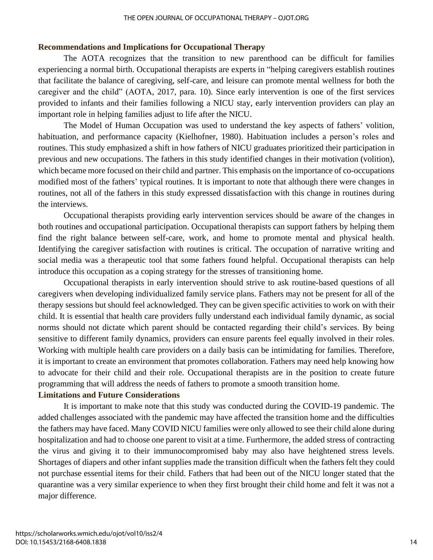#### **Recommendations and Implications for Occupational Therapy**

The AOTA recognizes that the transition to new parenthood can be difficult for families experiencing a normal birth. Occupational therapists are experts in "helping caregivers establish routines that facilitate the balance of caregiving, self-care, and leisure can promote mental wellness for both the caregiver and the child" (AOTA, 2017, para. 10). Since early intervention is one of the first services provided to infants and their families following a NICU stay, early intervention providers can play an important role in helping families adjust to life after the NICU.

The Model of Human Occupation was used to understand the key aspects of fathers' volition, habituation, and performance capacity (Kielhofner, 1980). Habituation includes a person's roles and routines. This study emphasized a shift in how fathers of NICU graduates prioritized their participation in previous and new occupations. The fathers in this study identified changes in their motivation (volition), which became more focused on their child and partner. This emphasis on the importance of co-occupations modified most of the fathers' typical routines. It is important to note that although there were changes in routines, not all of the fathers in this study expressed dissatisfaction with this change in routines during the interviews.

Occupational therapists providing early intervention services should be aware of the changes in both routines and occupational participation. Occupational therapists can support fathers by helping them find the right balance between self-care, work, and home to promote mental and physical health. Identifying the caregiver satisfaction with routines is critical. The occupation of narrative writing and social media was a therapeutic tool that some fathers found helpful. Occupational therapists can help introduce this occupation as a coping strategy for the stresses of transitioning home.

Occupational therapists in early intervention should strive to ask routine-based questions of all caregivers when developing individualized family service plans. Fathers may not be present for all of the therapy sessions but should feel acknowledged. They can be given specific activities to work on with their child. It is essential that health care providers fully understand each individual family dynamic, as social norms should not dictate which parent should be contacted regarding their child's services. By being sensitive to different family dynamics, providers can ensure parents feel equally involved in their roles. Working with multiple health care providers on a daily basis can be intimidating for families. Therefore, it is important to create an environment that promotes collaboration. Fathers may need help knowing how to advocate for their child and their role. Occupational therapists are in the position to create future programming that will address the needs of fathers to promote a smooth transition home.

#### **Limitations and Future Considerations**

It is important to make note that this study was conducted during the COVID-19 pandemic. The added challenges associated with the pandemic may have affected the transition home and the difficulties the fathers may have faced. Many COVID NICU families were only allowed to see their child alone during hospitalization and had to choose one parent to visit at a time. Furthermore, the added stress of contracting the virus and giving it to their immunocompromised baby may also have heightened stress levels. Shortages of diapers and other infant supplies made the transition difficult when the fathers felt they could not purchase essential items for their child. Fathers that had been out of the NICU longer stated that the quarantine was a very similar experience to when they first brought their child home and felt it was not a major difference.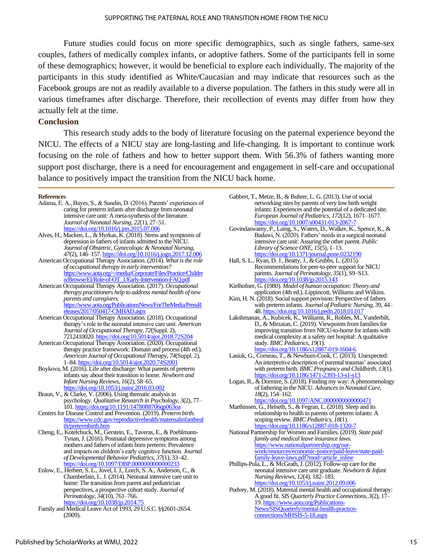Future studies could focus on more specific demographics, such as single fathers, same-sex couples, fathers of medically complex infants, or adoptive fathers. Some of the participants fell in some of these demographics; however, it would be beneficial to explore each individually. The majority of the participants in this study identified as White/Caucasian and may indicate that resources such as the Facebook groups are not as readily available to a diverse population. The fathers in this study were all in various timeframes after discharge. Therefore, their recollection of events may differ from how they actually felt at the time.

#### **Conclusion**

This research study adds to the body of literature focusing on the paternal experience beyond the NICU. The effects of a NICU stay are long-lasting and life-changing. It is important to continue work focusing on the role of fathers and how to better support them. With 56.3% of fathers wanting more support post discharge, there is a need for encouragement and engagement in self-care and occupational balance to positively impact the transition from the NICU back home.

#### **References**

- Adama, E. A., Bayes, S., & Sundin, D. (2016). Parents' experiences of caring for preterm infants after discharge from neonatal intensive care unit: A meta-synthesis of the literature. *Journal of Neonatal Nursing*, *22*(1), 27–51. <https://doi.org/10.1016/j.jnn.2015.07.006>
- Alves, H., Macken, L., & Hyrkas, K. (2018). Stress and symptoms of depression in fathers of infants admitted to the NICU. *Journal of Obstetric, Gynecologic & Neonatal Nursing*, *47*(2), 146–157. <https://doi.org/10.1016/j.jogn.2017.12.006>
- American Occupational Therapy Association. (2014). *What is the role of occupational therapy in early intervention?* [https://www.aota.org/~/media/Corporate/Files/Practice/Childre](https://www.aota.org/~/media/Corporate/Files/Practice/Children/Browse/EI/Role-of-OT_1/Early-Intervention-FAQ.pdf) [n/Browse/EI/Role-of-OT\\_1/Early-Intervention-FAQ.pdf](https://www.aota.org/~/media/Corporate/Files/Practice/Children/Browse/EI/Role-of-OT_1/Early-Intervention-FAQ.pdf)
- American Occupational Therapy Association. (2017). *Occupational therapy practitioners help to address mental health of new parents and caregivers.* [https://www.aota.org/PublicationsNews/ForTheMedia/PressR](https://www.aota.org/PublicationsNews/ForTheMedia/PressReleases/2017/050417-CMHAD.aspx) [eleases/2017/050417-CMHAD.aspx](https://www.aota.org/PublicationsNews/ForTheMedia/PressReleases/2017/050417-CMHAD.aspx)
- American Occupational Therapy Association. (2018). Occupational therapy's role in the neonatal intensive care unit. *American Journal of Occupational Therapy*, *72*(Suppl. 2), 7212410020[. https://doi.org/10.5014/ajot.2018.72S204](https://doi.org/10.5014/ajot.2018.72S204)
- American Occupational Therapy Association. (2020). Occupational therapy practice framework: Domain and process (4th ed.). *American Journal of Occupational Therapy*, *74*(Suppl. 2), 1–84[. https://doi.org/10.5014/ajot.2020.74S2001](https://doi.org/10.5014/ajot.2020.74S2001)
- Boykova, M. (2016). Life after discharge: What parents of preterm infants say about their transition to home. *Newborn and Infant Nursing Reviews*, *16*(2), 58–65. <https://doi.org/10.1053/j.nainr.2016.03.002>
- Braun, V., & Clarke, V. (2006). Using thematic analysis in psychology. *Qualitative Research in Psychology*, *3*(2), 77– 101[. https://doi.org/10.1191/1478088706qp063oa](https://doi.org/10.1191/1478088706qp063oa)
- Centers for Disease Control and Prevention. (2019). *Preterm birth.* [https://www.cdc.gov/reproductivehealth/maternalinfantheal](https://www.cdc.gov/reproductivehealth/maternalinfanthealth/pretermbirth.htm) [th/pretermbirth.htm](https://www.cdc.gov/reproductivehealth/maternalinfanthealth/pretermbirth.htm)
- Cheng, E., Kotelchuck, M., Gerstein, E., Taveras, E., & Poehlmann-Tynan, J. (2016). Postnatal depressive symptoms among mothers and fathers of infants born preterm: Prevalence and impacts on children's early cognitive function. *Journal of Developmental Behavior Pediatrics*, *37*(1), 33–42. <https://doi.org/10.1097/DBP.0000000000000233>
- Enlow, E., Herbert, S. L., Jovel, I. J., Lorch, S. A., Anderson, C., & Chamberlain, L. J. (2014). Neonatal intensive care unit to home: The transition from parent and pediatrician perspectives, a prospective cohort study. *Journal of Perinatology*, *34*(10), 761–766. <https://doi.org/10.1038/jp.2014.75>
- Family and Medical Leave Act of 1993, 29 U.S.C. §§2601-2654. (2009).
- Gabbert, T., Metze, B., & Buhrer, L. G. (2013). Use of social networking sites by parents of very low birth weight infants: Experiences and the potential of a dedicated site. *European Journal of Pediatrics*, *172*(12), 1671–1677*.* <https://doi.org/10.1007/s00431-013-2067-7>
- Govindaswamy, P., Laing, S., Waters, D., Walker, K., Spence, K., & Badawi, N. (2020). Fathers' needs in a surgical neonatal intensive care unit: Assuring the other parent. *Public Library of Science ONE*, *15*(5), 1–13. <https://doi.org/10.1371/journal.pone.0232190>
- Hall, S. L., Ryan, D. J., Beatty, J., & Grubbs, L. (2015). Recommendations for peer-to-peer support for NICU parents. *Journal of Perinatology*, *35*(1), S9–S13. <https://doi.org/10.1038/jp.2015.143>
- Kielhofner, G. (1980). *Model of human occupation: Theory and application* (4th ed.). Lippincott, Williams and Wilkins.
- Kim, H. N. (2018). Social support provision: Perspective of fathers with preterm infants. *Journal of Pediatric Nursing*, 39, 44– 48[. https://doi.org/10.1016/j.pedn.2018.01.017](https://doi.org/10.1016/j.pedn.2018.01.017)
- Lakshmanan, A., Kubicek, K., Williams, R., Robles, M., Vanderbilt, D., & Mirzaian, C. (2019). Viewpoints from families for improving transition from NICU-to-home for infants with medical complexity at a safety net hospital: A qualitative study. *BMC Pediatrics*, *19*(1). <https://doi.org/10.1186/s12887-019-1604-6>
- Lasiuk, G., Corneau, T., & Newburn-Cook, C. (2013). Unexpected: An interpretive description of parental traumas' associated with preterm birth. *BMC Pregnancy and Childbirth*, *13*(1). <https://doi.org/10.1186/1471-2393-13-s1-s13>
- Logan, R., & Dormire, S. (2018). Finding my way: A phenomenology of fathering in the NICU. *Advances in Neonatal Care*, *18*(2), 154–162. <https://doi.org/10.1097/ANC.0000000000000471>
- Marthinsen, G., Helseth, S., & Fegran, L. (2018). Sleep and its relationship to health in parents of preterm infants: A scoping review. *BMC Pediatrics*, *18*(1). <https://doi.org/10.1186/s12887-018-1320-7>
- National Partnership for Women and Families. (2019). *State paid family and medical leave insurance laws.* [https://www.nationalpartnership.org/our](https://www.nationalpartnership.org/our-work/resources/economic-justice/paid-leave/state-paid-family-leave-laws.pdf?mod=article_inline)[work/resources/economic-justice/paid-leave/state-paid](https://www.nationalpartnership.org/our-work/resources/economic-justice/paid-leave/state-paid-family-leave-laws.pdf?mod=article_inline)[family-leave-laws.pdf?mod=article\\_inline](https://www.nationalpartnership.org/our-work/resources/economic-justice/paid-leave/state-paid-family-leave-laws.pdf?mod=article_inline)
- Phillips-Pula, L., & McGrath, J. (2012). Follow-up care for the neonatal intensive care unit graduate. *Newborn & Infant Nursing Reviews*, *12*(4), 182–183. <https://doi.org/10.1053/j.nainr.2012.09.006>
- Podvey, M. (2018). Maternal mental health and occupational therapy: A good fit. *SIS Quarterly Practice Connections*, *3*(2), 17– 19[. https://www.aota.org/Publications-](https://www.aota.org/Publications-News/SISQuarterly/mental-health-practice-connections/MHSIS-5-18.aspx)[News/SISQuarterly/mental-health-practice](https://www.aota.org/Publications-News/SISQuarterly/mental-health-practice-connections/MHSIS-5-18.aspx)[connections/MHSIS-5-18.aspx](https://www.aota.org/Publications-News/SISQuarterly/mental-health-practice-connections/MHSIS-5-18.aspx)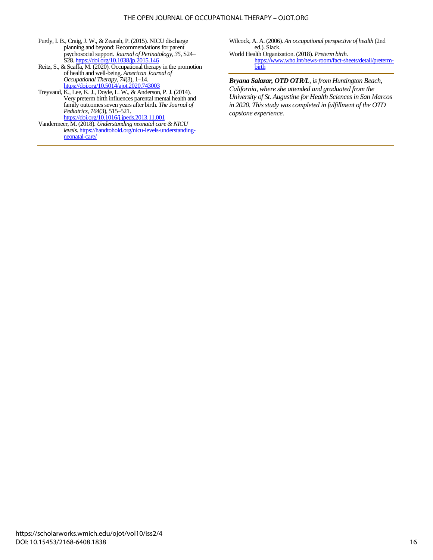#### THE OPEN JOURNAL OF OCCUPATIONAL THERAPY – OJOT.ORG

- Purdy, I. B., Craig, J. W., & Zeanah, P. (2015). NICU discharge planning and beyond: Recommendations for parent psychosocial support. *Journal of Perinatology*, *35*, S24– S28[. https://doi.org/10.1038/jp.2015.146](https://doi.org/10.1038/jp.2015.146)
- Reitz, S., & Scaffa, M. (2020). Occupational therapy in the promotion of health and well-being. *American Journal of Occupational Therapy*, *74*(3), 1–14. <https://doi.org/10.5014/ajot.2020.743003>
- Treyvaud, K., Lee, K. J., Doyle, L. W., & Anderson, P. J. (2014). Very preterm birth influences parental mental health and family outcomes seven years after birth. *The Journal of Pediatrics*, *164*(3), 515–521. <https://doi.org/10.1016/j.jpeds.2013.11.001>
- Vandermeer, M. (2018). *Understanding neonatal care & NICU levels*[. https://handtohold.org/nicu-levels-understanding](https://handtohold.org/nicu-levels-understanding-neonatal-care/)[neonatal-care/](https://handtohold.org/nicu-levels-understanding-neonatal-care/)

Wilcock, A. A. (2006). *An occupational perspective of health* (2nd ed.). Slack. World Health Organization. (2018). *Preterm birth*.

[https://www.who.int/news-room/fact-sheets/detail/preterm](https://www.who.int/news-room/fact-sheets/detail/preterm-birth)[birth](https://www.who.int/news-room/fact-sheets/detail/preterm-birth)

*Bryana Salazar, OTD OTR/L, is from Huntington Beach, California, where she attended and graduated from the University of St. Augustine for Health Sciences in San Marcos in 2020. This study was completed in fulfillment of the OTD capstone experience.*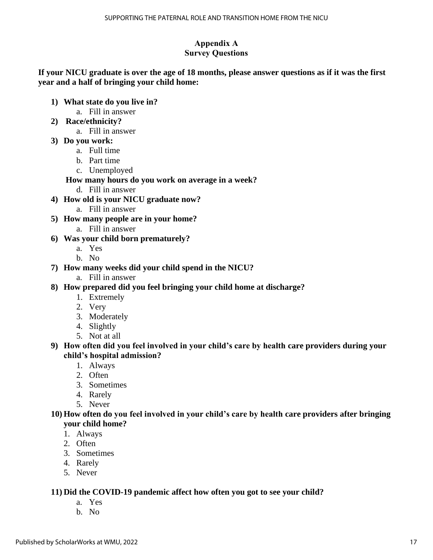### **Appendix A Survey Questions**

### **If your NICU graduate is over the age of 18 months, please answer questions as if it was the first year and a half of bringing your child home:**

- **1) What state do you live in?** 
	- a. Fill in answer
- **2) Race/ethnicity?**
	- a. Fill in answer
- **3) Do you work:**
	- a. Full time
	- b. Part time
	- c. Unemployed

### **How many hours do you work on average in a week?**

- d. Fill in answer
- **4) How old is your NICU graduate now?**
	- a. Fill in answer
- **5) How many people are in your home?**
	- a. Fill in answer
- **6) Was your child born prematurely?** 
	- a. Yes
	- b. No
- **7) How many weeks did your child spend in the NICU?**
	- a. Fill in answer
- **8) How prepared did you feel bringing your child home at discharge?** 
	- 1. Extremely
	- 2. Very
	- 3. Moderately
	- 4. Slightly
	- 5. Not at all
- **9) How often did you feel involved in your child's care by health care providers during your child's hospital admission?** 
	- 1. Always
	- 2. Often
	- 3. Sometimes
	- 4. Rarely
	- 5. Never

### **10) How often do you feel involved in your child's care by health care providers after bringing your child home?**

- 1. Always
- 2. Often
- 3. Sometimes
- 4. Rarely
- 5. Never

### **11) Did the COVID-19 pandemic affect how often you got to see your child?**

- a. Yes
- b. No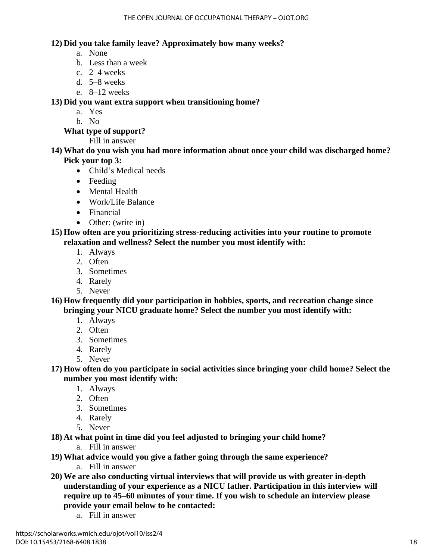### **12) Did you take family leave? Approximately how many weeks?**

- a. None
- b. Less than a week
- c. 2–4 weeks
- d. 5–8 weeks
- e. 8–12 weeks

**13) Did you want extra support when transitioning home?**

- a. Yes
- b. No

**What type of support?**

Fill in answer

**14) What do you wish you had more information about once your child was discharged home? Pick your top 3:** 

- Child's Medical needs
- Feeding
- Mental Health
- Work/Life Balance
- Financial
- Other: (write in)

**15) How often are you prioritizing stress-reducing activities into your routine to promote relaxation and wellness? Select the number you most identify with:**

- 1. Always
- 2. Often
- 3. Sometimes
- 4. Rarely
- 5. Never

**16) How frequently did your participation in hobbies, sports, and recreation change since bringing your NICU graduate home? Select the number you most identify with:**

- 1. Always
- 2. Often
- 3. Sometimes
- 4. Rarely
- 5. Never

**17) How often do you participate in social activities since bringing your child home? Select the number you most identify with:**

- 1. Always
- 2. Often
- 3. Sometimes
- 4. Rarely
- 5. Never

**18) At what point in time did you feel adjusted to bringing your child home?**

- a. Fill in answer
- **19) What advice would you give a father going through the same experience?**
	- a. Fill in answer
- **20) We are also conducting virtual interviews that will provide us with greater in-depth understanding of your experience as a NICU father. Participation in this interview will require up to 45–60 minutes of your time. If you wish to schedule an interview please provide your email below to be contacted:**
	- a. Fill in answer